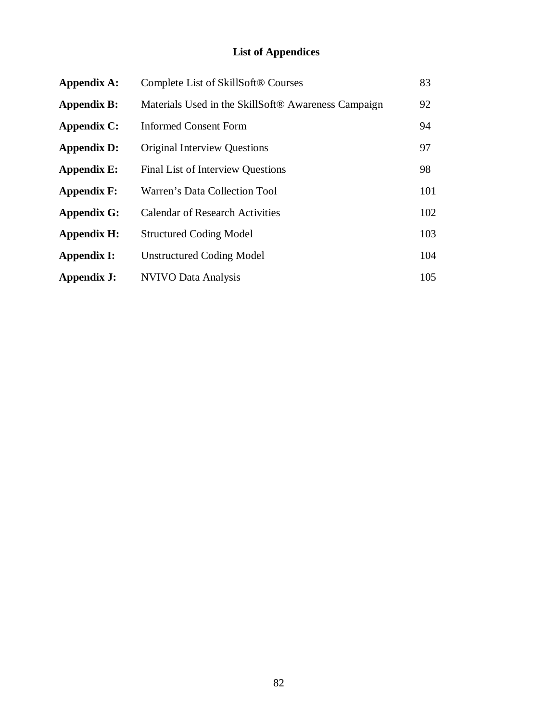# **List of Appendices**

| <b>Appendix A:</b> | Complete List of SkillSoft® Courses                             | 83  |
|--------------------|-----------------------------------------------------------------|-----|
| <b>Appendix B:</b> | Materials Used in the SkillSoft <sup>®</sup> Awareness Campaign | 92  |
| <b>Appendix C:</b> | <b>Informed Consent Form</b>                                    | 94  |
| <b>Appendix D:</b> | <b>Original Interview Questions</b>                             | 97  |
| <b>Appendix E:</b> | <b>Final List of Interview Questions</b>                        | 98  |
| <b>Appendix F:</b> | Warren's Data Collection Tool                                   | 101 |
| <b>Appendix G:</b> | <b>Calendar of Research Activities</b>                          | 102 |
| <b>Appendix H:</b> | <b>Structured Coding Model</b>                                  | 103 |
| <b>Appendix I:</b> | <b>Unstructured Coding Model</b>                                | 104 |
| Appendix J:        | <b>NVIVO Data Analysis</b>                                      | 105 |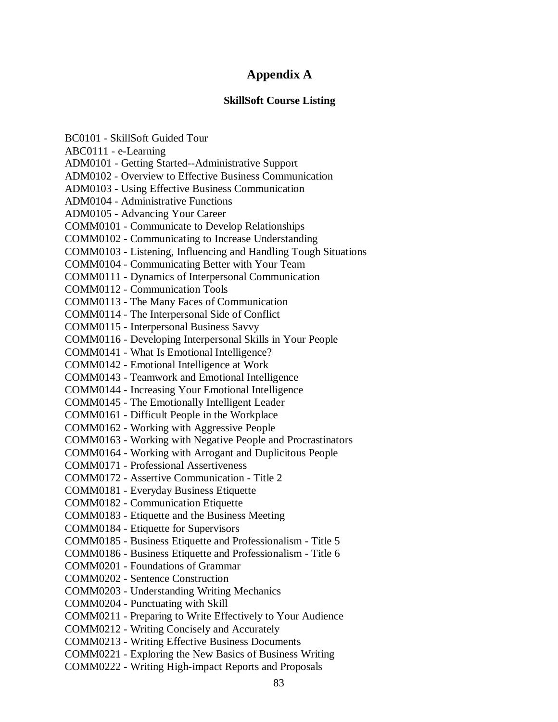# **Appendix A**

# **SkillSoft Course Listing**

| BC0101 - SkillSoft Guided Tour                                  |  |  |
|-----------------------------------------------------------------|--|--|
| ABC0111 - e-Learning                                            |  |  |
| ADM0101 - Getting Started--Administrative Support               |  |  |
| ADM0102 - Overview to Effective Business Communication          |  |  |
| ADM0103 - Using Effective Business Communication                |  |  |
| <b>ADM0104 - Administrative Functions</b>                       |  |  |
| ADM0105 - Advancing Your Career                                 |  |  |
| <b>COMM0101 - Communicate to Develop Relationships</b>          |  |  |
| COMM0102 - Communicating to Increase Understanding              |  |  |
| COMM0103 - Listening, Influencing and Handling Tough Situations |  |  |
| COMM0104 - Communicating Better with Your Team                  |  |  |
| COMM0111 - Dynamics of Interpersonal Communication              |  |  |
| <b>COMM0112 - Communication Tools</b>                           |  |  |
| COMM0113 - The Many Faces of Communication                      |  |  |
| COMM0114 - The Interpersonal Side of Conflict                   |  |  |
| COMM0115 - Interpersonal Business Savvy                         |  |  |
| COMM0116 - Developing Interpersonal Skills in Your People       |  |  |
| COMM0141 - What Is Emotional Intelligence?                      |  |  |
| COMM0142 - Emotional Intelligence at Work                       |  |  |
| COMM0143 - Teamwork and Emotional Intelligence                  |  |  |
| COMM0144 - Increasing Your Emotional Intelligence               |  |  |
| COMM0145 - The Emotionally Intelligent Leader                   |  |  |
| COMM0161 - Difficult People in the Workplace                    |  |  |
| COMM0162 - Working with Aggressive People                       |  |  |
| COMM0163 - Working with Negative People and Procrastinators     |  |  |
| COMM0164 - Working with Arrogant and Duplicitous People         |  |  |
| <b>COMM0171 - Professional Assertiveness</b>                    |  |  |
| COMM0172 - Assertive Communication - Title 2                    |  |  |
| COMM0181 - Everyday Business Etiquette                          |  |  |
| <b>COMM0182 - Communication Etiquette</b>                       |  |  |
| COMM0183 - Etiquette and the Business Meeting                   |  |  |
| COMM0184 - Etiquette for Supervisors                            |  |  |
| COMM0185 - Business Etiquette and Professionalism - Title 5     |  |  |
| COMM0186 - Business Etiquette and Professionalism - Title 6     |  |  |
| <b>COMM0201 - Foundations of Grammar</b>                        |  |  |
| <b>COMM0202 - Sentence Construction</b>                         |  |  |
| <b>COMM0203 - Understanding Writing Mechanics</b>               |  |  |
| COMM0204 - Punctuating with Skill                               |  |  |
| COMM0211 - Preparing to Write Effectively to Your Audience      |  |  |
| COMM0212 - Writing Concisely and Accurately                     |  |  |
| <b>COMM0213 - Writing Effective Business Documents</b>          |  |  |
| COMM0221 - Exploring the New Basics of Business Writing         |  |  |
| COMM0222 - Writing High-impact Reports and Proposals            |  |  |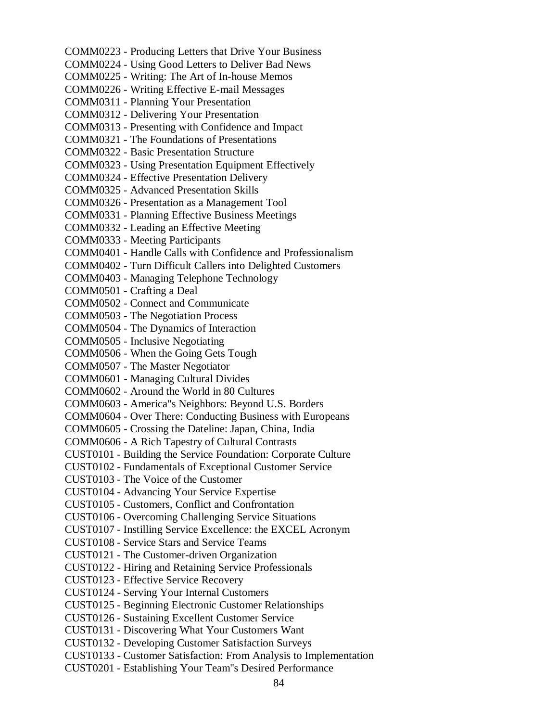COMM0223 - Producing Letters that Drive Your Business COMM0224 - Using Good Letters to Deliver Bad News COMM0225 - Writing: The Art of In-house Memos COMM0226 - Writing Effective E-mail Messages COMM0311 - Planning Your Presentation COMM0312 - Delivering Your Presentation COMM0313 - Presenting with Confidence and Impact COMM0321 - The Foundations of Presentations COMM0322 - Basic Presentation Structure COMM0323 - Using Presentation Equipment Effectively COMM0324 - Effective Presentation Delivery COMM0325 - Advanced Presentation Skills COMM0326 - Presentation as a Management Tool COMM0331 - Planning Effective Business Meetings COMM0332 - Leading an Effective Meeting COMM0333 - Meeting Participants COMM0401 - Handle Calls with Confidence and Professionalism COMM0402 - Turn Difficult Callers into Delighted Customers COMM0403 - Managing Telephone Technology COMM0501 - Crafting a Deal COMM0502 - Connect and Communicate COMM0503 - The Negotiation Process COMM0504 - The Dynamics of Interaction COMM0505 - Inclusive Negotiating COMM0506 - When the Going Gets Tough COMM0507 - The Master Negotiator COMM0601 - Managing Cultural Divides COMM0602 - Around the World in 80 Cultures COMM0603 - America''s Neighbors: Beyond U.S. Borders COMM0604 - Over There: Conducting Business with Europeans COMM0605 - Crossing the Dateline: Japan, China, India COMM0606 - A Rich Tapestry of Cultural Contrasts CUST0101 - Building the Service Foundation: Corporate Culture CUST0102 - Fundamentals of Exceptional Customer Service CUST0103 - The Voice of the Customer CUST0104 - Advancing Your Service Expertise CUST0105 - Customers, Conflict and Confrontation CUST0106 - Overcoming Challenging Service Situations CUST0107 - Instilling Service Excellence: the EXCEL Acronym CUST0108 - Service Stars and Service Teams CUST0121 - The Customer-driven Organization CUST0122 - Hiring and Retaining Service Professionals CUST0123 - Effective Service Recovery CUST0124 - Serving Your Internal Customers CUST0125 - Beginning Electronic Customer Relationships CUST0126 - Sustaining Excellent Customer Service CUST0131 - Discovering What Your Customers Want CUST0132 - Developing Customer Satisfaction Surveys CUST0133 - Customer Satisfaction: From Analysis to Implementation CUST0201 - Establishing Your Team''s Desired Performance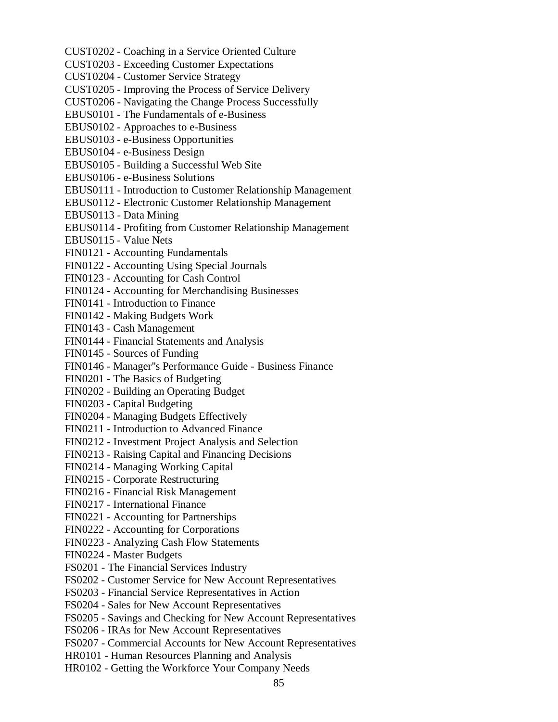CUST0202 - Coaching in a Service Oriented Culture CUST0203 - Exceeding Customer Expectations CUST0204 - Customer Service Strategy CUST0205 - Improving the Process of Service Delivery CUST0206 - Navigating the Change Process Successfully EBUS0101 - The Fundamentals of e-Business EBUS0102 - Approaches to e-Business EBUS0103 - e-Business Opportunities EBUS0104 - e-Business Design EBUS0105 - Building a Successful Web Site EBUS0106 - e-Business Solutions EBUS0111 - Introduction to Customer Relationship Management EBUS0112 - Electronic Customer Relationship Management EBUS0113 - Data Mining EBUS0114 - Profiting from Customer Relationship Management EBUS0115 - Value Nets FIN0121 - Accounting Fundamentals FIN0122 - Accounting Using Special Journals FIN0123 - Accounting for Cash Control FIN0124 - Accounting for Merchandising Businesses FIN0141 - Introduction to Finance FIN0142 - Making Budgets Work FIN0143 - Cash Management FIN0144 - Financial Statements and Analysis FIN0145 - Sources of Funding FIN0146 - Manager''s Performance Guide - Business Finance FIN0201 - The Basics of Budgeting FIN0202 - Building an Operating Budget FIN0203 - Capital Budgeting FIN0204 - Managing Budgets Effectively FIN0211 - Introduction to Advanced Finance FIN0212 - Investment Project Analysis and Selection FIN0213 - Raising Capital and Financing Decisions FIN0214 - Managing Working Capital FIN0215 - Corporate Restructuring FIN0216 - Financial Risk Management FIN0217 - International Finance FIN0221 - Accounting for Partnerships FIN0222 - Accounting for Corporations FIN0223 - Analyzing Cash Flow Statements FIN0224 - Master Budgets FS0201 - The Financial Services Industry FS0202 - Customer Service for New Account Representatives FS0203 - Financial Service Representatives in Action FS0204 - Sales for New Account Representatives FS0205 - Savings and Checking for New Account Representatives FS0206 - IRAs for New Account Representatives FS0207 - Commercial Accounts for New Account Representatives HR0101 - Human Resources Planning and Analysis HR0102 - Getting the Workforce Your Company Needs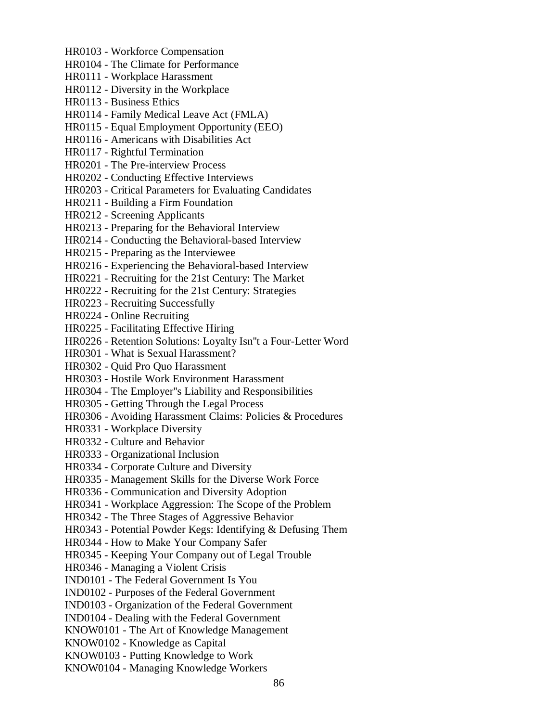HR0103 - Workforce Compensation HR0104 - The Climate for Performance HR0111 - Workplace Harassment HR0112 - Diversity in the Workplace HR0113 - Business Ethics HR0114 - Family Medical Leave Act (FMLA) HR0115 - Equal Employment Opportunity (EEO) HR0116 - Americans with Disabilities Act HR0117 - Rightful Termination HR0201 - The Pre-interview Process HR0202 - Conducting Effective Interviews HR0203 - Critical Parameters for Evaluating Candidates HR0211 - Building a Firm Foundation HR0212 - Screening Applicants HR0213 - Preparing for the Behavioral Interview HR0214 - Conducting the Behavioral-based Interview HR0215 - Preparing as the Interviewee HR0216 - Experiencing the Behavioral-based Interview HR0221 - Recruiting for the 21st Century: The Market HR0222 - Recruiting for the 21st Century: Strategies HR0223 - Recruiting Successfully HR0224 - Online Recruiting HR0225 - Facilitating Effective Hiring HR0226 - Retention Solutions: Loyalty Isn''t a Four-Letter Word HR0301 - What is Sexual Harassment? HR0302 - Quid Pro Quo Harassment HR0303 - Hostile Work Environment Harassment HR0304 - The Employer''s Liability and Responsibilities HR0305 - Getting Through the Legal Process HR0306 - Avoiding Harassment Claims: Policies & Procedures HR0331 - Workplace Diversity HR0332 - Culture and Behavior HR0333 - Organizational Inclusion HR0334 - Corporate Culture and Diversity HR0335 - Management Skills for the Diverse Work Force HR0336 - Communication and Diversity Adoption HR0341 - Workplace Aggression: The Scope of the Problem HR0342 - The Three Stages of Aggressive Behavior HR0343 - Potential Powder Kegs: Identifying & Defusing Them HR0344 - How to Make Your Company Safer HR0345 - Keeping Your Company out of Legal Trouble HR0346 - Managing a Violent Crisis IND0101 - The Federal Government Is You IND0102 - Purposes of the Federal Government IND0103 - Organization of the Federal Government IND0104 - Dealing with the Federal Government KNOW0101 - The Art of Knowledge Management KNOW0102 - Knowledge as Capital KNOW0103 - Putting Knowledge to Work KNOW0104 - Managing Knowledge Workers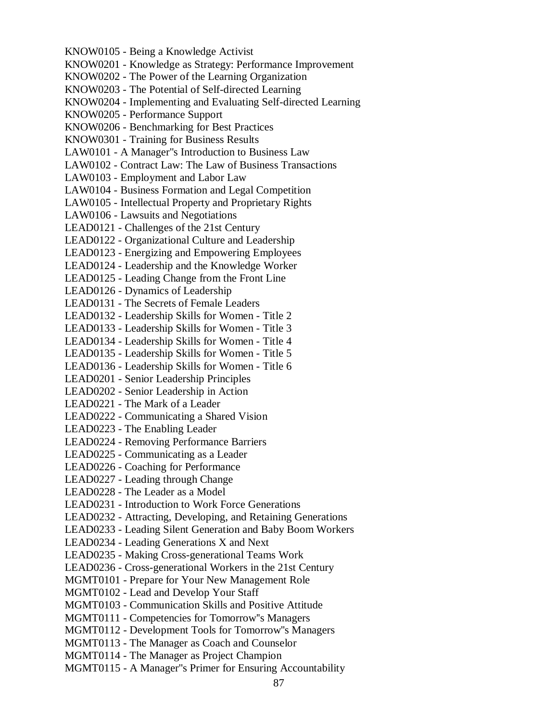KNOW0105 - Being a Knowledge Activist KNOW0201 - Knowledge as Strategy: Performance Improvement KNOW0202 - The Power of the Learning Organization KNOW0203 - The Potential of Self-directed Learning KNOW0204 - Implementing and Evaluating Self-directed Learning KNOW0205 - Performance Support KNOW0206 - Benchmarking for Best Practices KNOW0301 - Training for Business Results LAW0101 - A Manager''s Introduction to Business Law LAW0102 - Contract Law: The Law of Business Transactions LAW0103 - Employment and Labor Law LAW0104 - Business Formation and Legal Competition LAW0105 - Intellectual Property and Proprietary Rights LAW0106 - Lawsuits and Negotiations LEAD0121 - Challenges of the 21st Century LEAD0122 - Organizational Culture and Leadership LEAD0123 - Energizing and Empowering Employees LEAD0124 - Leadership and the Knowledge Worker LEAD0125 - Leading Change from the Front Line LEAD0126 - Dynamics of Leadership LEAD0131 - The Secrets of Female Leaders LEAD0132 - Leadership Skills for Women - Title 2 LEAD0133 - Leadership Skills for Women - Title 3 LEAD0134 - Leadership Skills for Women - Title 4 LEAD0135 - Leadership Skills for Women - Title 5 LEAD0136 - Leadership Skills for Women - Title 6 LEAD0201 - Senior Leadership Principles LEAD0202 - Senior Leadership in Action LEAD0221 - The Mark of a Leader LEAD0222 - Communicating a Shared Vision LEAD0223 - The Enabling Leader LEAD0224 - Removing Performance Barriers LEAD0225 - Communicating as a Leader LEAD0226 - Coaching for Performance LEAD0227 - Leading through Change LEAD0228 - The Leader as a Model LEAD0231 - Introduction to Work Force Generations LEAD0232 - Attracting, Developing, and Retaining Generations LEAD0233 - Leading Silent Generation and Baby Boom Workers LEAD0234 - Leading Generations X and Next LEAD0235 - Making Cross-generational Teams Work LEAD0236 - Cross-generational Workers in the 21st Century MGMT0101 - Prepare for Your New Management Role MGMT0102 - Lead and Develop Your Staff MGMT0103 - Communication Skills and Positive Attitude MGMT0111 - Competencies for Tomorrow''s Managers MGMT0112 - Development Tools for Tomorrow''s Managers MGMT0113 - The Manager as Coach and Counselor MGMT0114 - The Manager as Project Champion MGMT0115 - A Manager''s Primer for Ensuring Accountability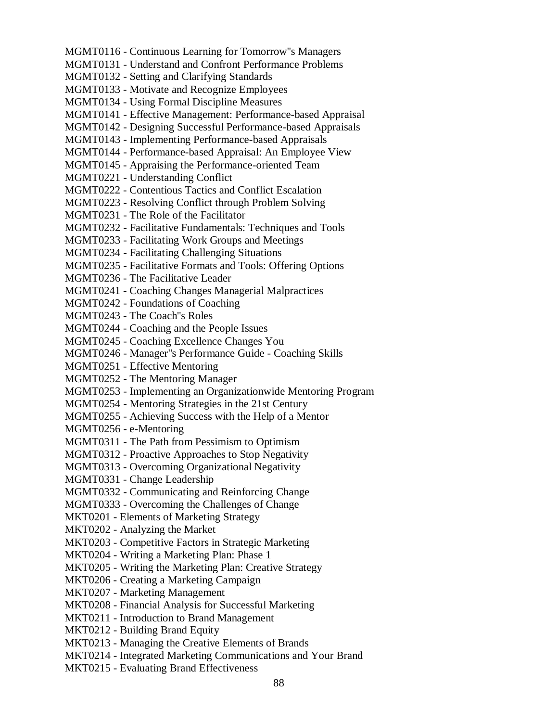MGMT0116 - Continuous Learning for Tomorrow''s Managers MGMT0131 - Understand and Confront Performance Problems MGMT0132 - Setting and Clarifying Standards MGMT0133 - Motivate and Recognize Employees MGMT0134 - Using Formal Discipline Measures MGMT0141 - Effective Management: Performance-based Appraisal MGMT0142 - Designing Successful Performance-based Appraisals MGMT0143 - Implementing Performance-based Appraisals MGMT0144 - Performance-based Appraisal: An Employee View MGMT0145 - Appraising the Performance-oriented Team MGMT0221 - Understanding Conflict MGMT0222 - Contentious Tactics and Conflict Escalation MGMT0223 - Resolving Conflict through Problem Solving MGMT0231 - The Role of the Facilitator MGMT0232 - Facilitative Fundamentals: Techniques and Tools MGMT0233 - Facilitating Work Groups and Meetings MGMT0234 - Facilitating Challenging Situations MGMT0235 - Facilitative Formats and Tools: Offering Options MGMT0236 - The Facilitative Leader MGMT0241 - Coaching Changes Managerial Malpractices MGMT0242 - Foundations of Coaching MGMT0243 - The Coach''s Roles MGMT0244 - Coaching and the People Issues MGMT0245 - Coaching Excellence Changes You MGMT0246 - Manager''s Performance Guide - Coaching Skills MGMT0251 - Effective Mentoring MGMT0252 - The Mentoring Manager MGMT0253 - Implementing an Organizationwide Mentoring Program MGMT0254 - Mentoring Strategies in the 21st Century MGMT0255 - Achieving Success with the Help of a Mentor MGMT0256 - e-Mentoring MGMT0311 - The Path from Pessimism to Optimism MGMT0312 - Proactive Approaches to Stop Negativity MGMT0313 - Overcoming Organizational Negativity MGMT0331 - Change Leadership MGMT0332 - Communicating and Reinforcing Change MGMT0333 - Overcoming the Challenges of Change MKT0201 - Elements of Marketing Strategy MKT0202 - Analyzing the Market MKT0203 - Competitive Factors in Strategic Marketing MKT0204 - Writing a Marketing Plan: Phase 1 MKT0205 - Writing the Marketing Plan: Creative Strategy MKT0206 - Creating a Marketing Campaign MKT0207 - Marketing Management MKT0208 - Financial Analysis for Successful Marketing MKT0211 - Introduction to Brand Management MKT0212 - Building Brand Equity MKT0213 - Managing the Creative Elements of Brands MKT0214 - Integrated Marketing Communications and Your Brand MKT0215 - Evaluating Brand Effectiveness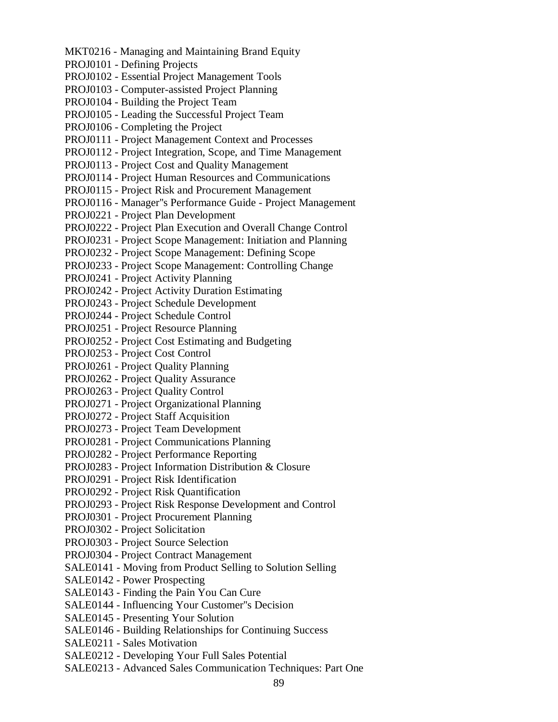MKT0216 - Managing and Maintaining Brand Equity PROJ0101 - Defining Projects PROJ0102 - Essential Project Management Tools PROJ0103 - Computer-assisted Project Planning PROJ0104 - Building the Project Team PROJ0105 - Leading the Successful Project Team PROJ0106 - Completing the Project PROJ0111 - Project Management Context and Processes PROJ0112 - Project Integration, Scope, and Time Management PROJ0113 - Project Cost and Quality Management PROJ0114 - Project Human Resources and Communications PROJ0115 - Project Risk and Procurement Management PROJ0116 - Manager''s Performance Guide - Project Management PROJ0221 - Project Plan Development PROJ0222 - Project Plan Execution and Overall Change Control PROJ0231 - Project Scope Management: Initiation and Planning PROJ0232 - Project Scope Management: Defining Scope PROJ0233 - Project Scope Management: Controlling Change PROJ0241 - Project Activity Planning PROJ0242 - Project Activity Duration Estimating PROJ0243 - Project Schedule Development PROJ0244 - Project Schedule Control PROJ0251 - Project Resource Planning PROJ0252 - Project Cost Estimating and Budgeting PROJ0253 - Project Cost Control PROJ0261 - Project Quality Planning PROJ0262 - Project Quality Assurance PROJ0263 - Project Quality Control PROJ0271 - Project Organizational Planning PROJ0272 - Project Staff Acquisition PROJ0273 - Project Team Development PROJ0281 - Project Communications Planning PROJ0282 - Project Performance Reporting PROJ0283 - Project Information Distribution & Closure PROJ0291 - Project Risk Identification PROJ0292 - Project Risk Quantification PROJ0293 - Project Risk Response Development and Control PROJ0301 - Project Procurement Planning PROJ0302 - Project Solicitation PROJ0303 - Project Source Selection PROJ0304 - Project Contract Management SALE0141 - Moving from Product Selling to Solution Selling SALE0142 - Power Prospecting SALE0143 - Finding the Pain You Can Cure SALE0144 - Influencing Your Customer''s Decision SALE0145 - Presenting Your Solution SALE0146 - Building Relationships for Continuing Success SALE0211 - Sales Motivation SALE0212 - Developing Your Full Sales Potential SALE0213 - Advanced Sales Communication Techniques: Part One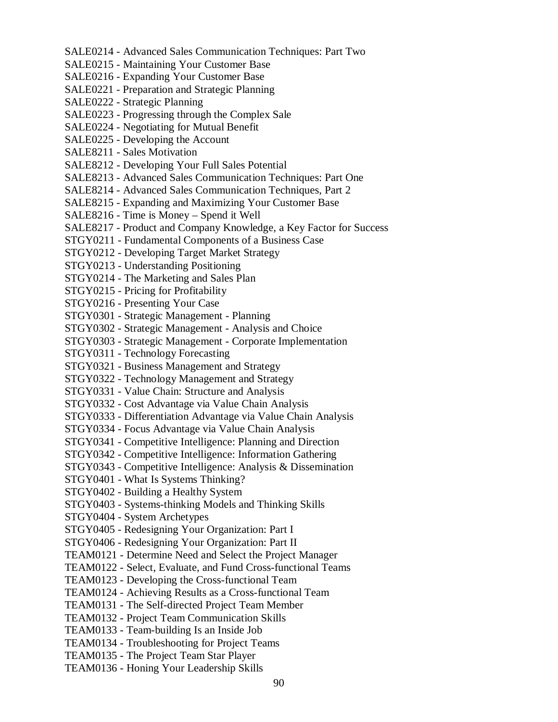SALE0214 - Advanced Sales Communication Techniques: Part Two SALE0215 - Maintaining Your Customer Base SALE0216 - Expanding Your Customer Base SALE0221 - Preparation and Strategic Planning SALE0222 - Strategic Planning SALE0223 - Progressing through the Complex Sale SALE0224 - Negotiating for Mutual Benefit SALE0225 - Developing the Account SALE8211 - Sales Motivation SALE8212 - Developing Your Full Sales Potential SALE8213 - Advanced Sales Communication Techniques: Part One SALE8214 - Advanced Sales Communication Techniques, Part 2 SALE8215 - Expanding and Maximizing Your Customer Base SALE8216 - Time is Money – Spend it Well SALE8217 - Product and Company Knowledge, a Key Factor for Success STGY0211 - Fundamental Components of a Business Case STGY0212 - Developing Target Market Strategy STGY0213 - Understanding Positioning STGY0214 - The Marketing and Sales Plan STGY0215 - Pricing for Profitability STGY0216 - Presenting Your Case STGY0301 - Strategic Management - Planning STGY0302 - Strategic Management - Analysis and Choice STGY0303 - Strategic Management - Corporate Implementation STGY0311 - Technology Forecasting STGY0321 - Business Management and Strategy STGY0322 - Technology Management and Strategy STGY0331 - Value Chain: Structure and Analysis STGY0332 - Cost Advantage via Value Chain Analysis STGY0333 - Differentiation Advantage via Value Chain Analysis STGY0334 - Focus Advantage via Value Chain Analysis STGY0341 - Competitive Intelligence: Planning and Direction STGY0342 - Competitive Intelligence: Information Gathering STGY0343 - Competitive Intelligence: Analysis & Dissemination STGY0401 - What Is Systems Thinking? STGY0402 - Building a Healthy System STGY0403 - Systems-thinking Models and Thinking Skills STGY0404 - System Archetypes STGY0405 - Redesigning Your Organization: Part I STGY0406 - Redesigning Your Organization: Part II TEAM0121 - Determine Need and Select the Project Manager TEAM0122 - Select, Evaluate, and Fund Cross-functional Teams TEAM0123 - Developing the Cross-functional Team TEAM0124 - Achieving Results as a Cross-functional Team TEAM0131 - The Self-directed Project Team Member TEAM0132 - Project Team Communication Skills TEAM0133 - Team-building Is an Inside Job TEAM0134 - Troubleshooting for Project Teams TEAM0135 - The Project Team Star Player TEAM0136 - Honing Your Leadership Skills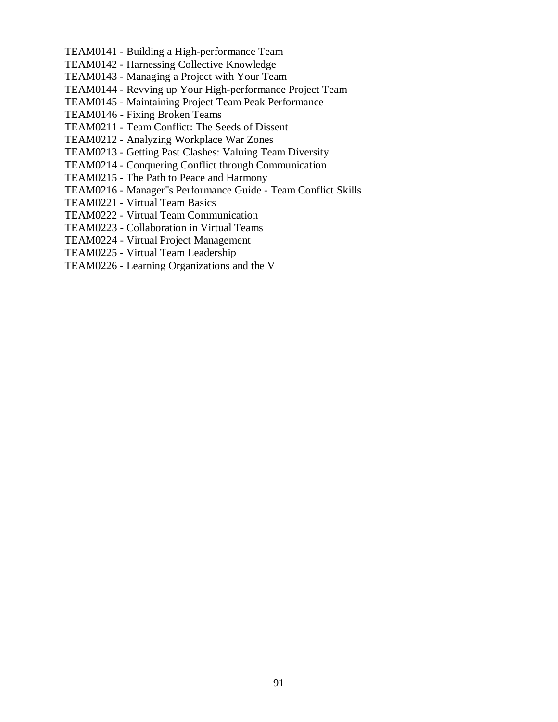- TEAM0141 Building a High-performance Team
- TEAM0142 Harnessing Collective Knowledge
- TEAM0143 Managing a Project with Your Team
- TEAM0144 Revving up Your High-performance Project Team
- TEAM0145 Maintaining Project Team Peak Performance
- TEAM0146 Fixing Broken Teams
- TEAM0211 Team Conflict: The Seeds of Dissent
- TEAM0212 Analyzing Workplace War Zones
- TEAM0213 Getting Past Clashes: Valuing Team Diversity
- TEAM0214 Conquering Conflict through Communication
- TEAM0215 The Path to Peace and Harmony
- TEAM0216 Manager''s Performance Guide Team Conflict Skills
- TEAM0221 Virtual Team Basics
- TEAM0222 Virtual Team Communication
- TEAM0223 Collaboration in Virtual Teams
- TEAM0224 Virtual Project Management
- TEAM0225 Virtual Team Leadership
- TEAM0226 Learning Organizations and the V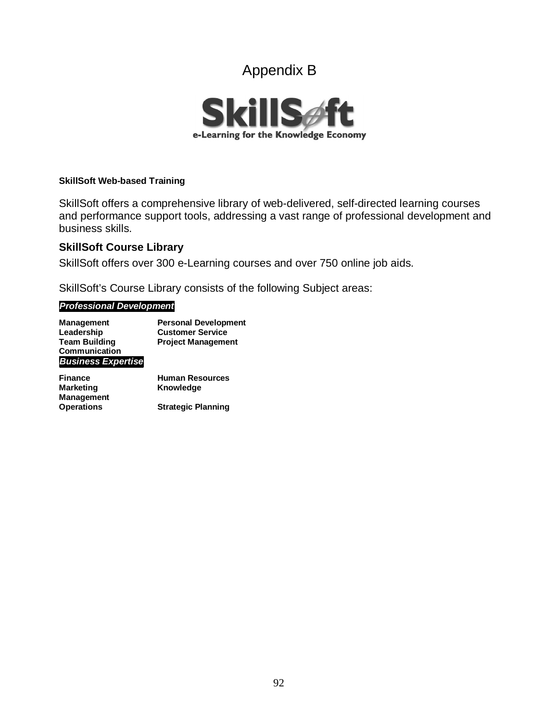# Appendix B



### **SkillSoft Web-based Training**

SkillSoft offers a comprehensive library of web-delivered, self-directed learning courses and performance support tools, addressing a vast range of professional development and business skills.

# **SkillSoft Course Library**

SkillSoft offers over 300 e-Learning courses and over 750 online job aids.

SkillSoft's Course Library consists of the following Subject areas:

### *Professional Development*

| <b>Management</b>         | <b>Personal Development</b> |
|---------------------------|-----------------------------|
| Leadership                | <b>Customer Service</b>     |
| <b>Team Building</b>      | <b>Project Management</b>   |
| Communication             |                             |
| <b>Business Expertise</b> |                             |

| <b>Finance</b>    | <b>Human Resources</b>    |
|-------------------|---------------------------|
| Marketing         | Knowledge                 |
| Management        |                           |
| <b>Operations</b> | <b>Strategic Planning</b> |